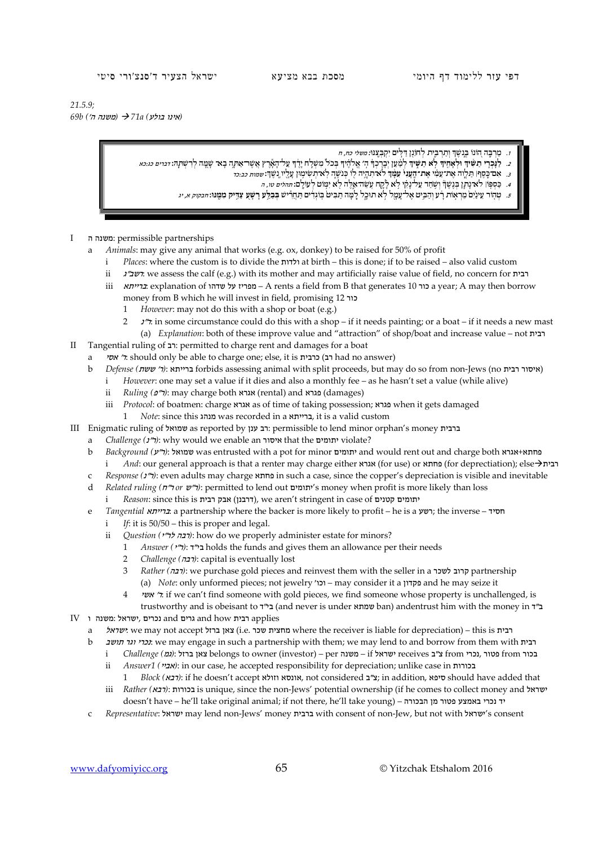*21.5.9; (*אינו בולע*) a71 )* משנה ה'*) b69*

- בְּ נֶ֣ שֶׁ ך וְתַ רְ בִּ ֑ית ֵ לְ חוֹ נ֖ן ּד ּ ַ ל ִ֣ ים ּ יִקְ בְּ צֶֽ נּו*:* משלי כח, ח ְ .1 מַ רְ בֶּ֣ה ה֭ וֹ נוֹ
- ַ 2. לַגַּבְרִי תַשִּׂיךָ וּלְאַחִיךָ לָא תִשִּׂיךְ לְמַׁעַן יִבְרֹבְךָ הִ׳ אֵלֹהֶיךָ בְּכֹל מִשְׁלַח יַרֹךְ עַל־הָאֲרץ אֲשֶׁר־אַתָּה בָא־ שַׁמַּה לְרִשְׁתַּהּ וֹיִבּרִים כּגִיכּא
	- נֶֽ שֶׁ ך: שמות כב:כד ְ **<sup>ך</sup>** לֹא־תִ הְ יֶ ֥ ה ל֖ וֹ ּכְ נֹשֶׁ ֑ ה לֹֽ א־תְ שִׂ ימ֥ ּון עָ לָ ֖ יו **ְ** .3 ּ אִ ם־כֶ֣ סֶ ף׀ ּתַ לְ וֶ֣ ה ּ אֶ ת־עַ מִ֗ י **אֶ ת־הֶֽעָ נִי֙ עִ מָּ֔** 
		- בִּ בִּפְגָּוֹ לֹא נָתָ֖ן בִּנֶשֶׁךָּ וְשָׁחַד עַל-נָקִי לָא לָקֶח עָשֶׁׁה־אֵלֶה לֹא יִמְוֹט לְעוֹלָם: *תהלים טו, ה*  $\sim$
	- 5. טהור עינים מראות רע והביט אל-עמל לא תוכל למה תביט בוגדים תחריש בבלע רשע צדיק ממנו: *חבקוק א, יג*
- I ה משנה: permissible partnerships
	- a *Animals*: may give any animal that works (e.g. ox, donkey) to be raised for 50% of profit
		- i *Places*: where the custom is to divide the ולדות at birth this is done; if to be raised also valid custom
		- ii  $\lambda$ ישב"ג we assess the calf (e.g.) with its mother and may artificially raise value of field, no concern for רבית
		- iii ברייתא: explanation of שדהו על מפריז A rents a field from B that generates 10 כור a year; A may then borrow money from B which he will invest in field, promising 12 כור
			- 1 *However*: may not do this with a shop or boat (e.g.)
			- 2  $\pi$ : in some circumstance could do this with a shop if it needs painting; or a boat if it needs a new mast (a) *Explanation*: both of these improve value and "attraction" of shop/boat and increase value – not רבית
- II Tangential ruling of רב: permitted to charge rent and damages for a boat
	- a אסי $'$ r: should only be able to charge one; else, it is כרבית) had no answer)
	- b *Defense (*ששת' ר*(*: ברייתא forbids assessing animal with split proceeds, but may do so from non-Jews (no רבית איסור(
		- i *However*: one may set a value if it dies and also a monthly fee as he hasn't set a value (while alive)
		- ii *Ruling (*פ"ר*(*: may charge both אגרא) rental) and פגרא) damages)
		- iii *Protocol*: of boatmen: charge אגרא as of time of taking possession; פגרא when it gets damaged
		- 1 *Note*: since this מנהג was recorded in a ברייתא, it is a valid custom
- III Enigmatic ruling of שמואל as reported by ענן רב: permissible to lend minor orphan's money ברבית
	- a *Challenge (*נ"ר*(*: why would we enable an איסור that the יתומים violate?
	- b *Background (*ע"ר*(*: שמואל was entrusted with a pot for minor יתומים and would rent out and charge both אגרא+פחתא i *And*: our general approach is that a renter may charge either אגרא) (for use) or פחתא) for deprectiation); else
	- c *Response (*נ"ר*(*: even adults may charge פחתא in such a case, since the copper's depreciation is visible and inevitable
	- d *Related ruling (*ח"ר *or* ש"ר*(*: permitted to lend out יתומים's money when profit is more likely than loss
		- i *Reason*: since this is יתומים קטנים (דרבנן), we aren't stringent in case of  $\overline{a}$
	- e *Tangential* ברייתא: a partnership where the backer is more likely to profit he is a רשע ;the inverse חסיד
		- i *If*: it is 50/50 this is proper and legal.
		- ii *Question (יבה לר"י*): how do we properly administer estate for minors?
			- 1 *Answer (*י"ר*(*: ד"בי holds the funds and gives them an allowance per their needs
			- 2 *Challenge (*רבה*(*: capital is eventually lost
			- 3 *Rather (*רבה*(*: we purchase gold pieces and reinvest them with the seller in a לשכר קרוב partnership (a) *Note*: only unformed pieces; not jewelry 'וכו – may consider it a פקדון and he may seize it
			- 4 אשי' ר: if we can't find someone with gold pieces, we find someone whose property is unchallenged, is
- trustworthy and is obeisant to בין (and never is under שמתא ban) andentrust him with the money in  $T$  $\rm IV$ ובית and kow גרים and kow גרים applies נכרים ,ישראל
	- a ישראל: we may not accept ברזל נו.e. שכר מחצית שכר מחצית where the receiver is liable for depreciation) this is רבית
		- b תושב וגר נכרי: we may engage in such a partnership with them; we may lend to and borrow from them with רבית
			- i *Challenge (מגון* ברזל צאן belongs to owner (investor) per משנה if ישראל receives בכור from נכור from נכור
			- ii *Answer1* (*'אביי*): in our case, he accepted responsibility for depreciation; unlike case in  $n$ בנורות:
			- 1 *Block (*רבא*(*: if he doesn't accept וזולא אונסא, not considered ב"צ ;in addition, סיפא should have added that iii *Rather (אבא*): is unique, since the non-Jews' potential ownership (if he comes to collect money and ישראל
			- doesn't have he'll take original animal; if not there, he'll take young) הבכורה מן פטור באמצע נכרי יד
		- c *Representative*: ישראל may lend non-Jews' money ברבית with consent of non-Jew, but not with ישראל's consent